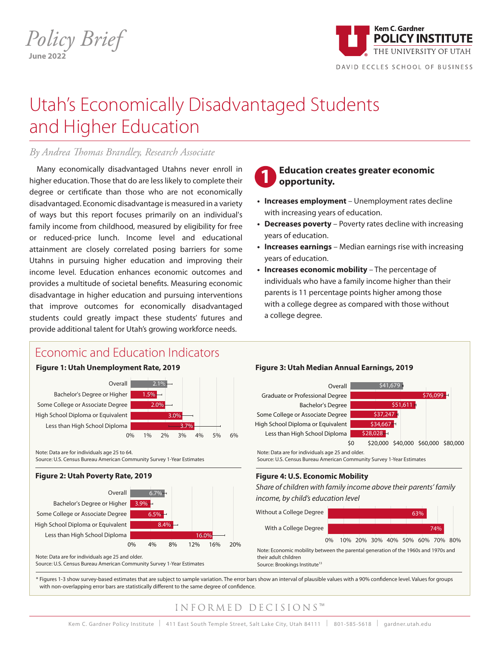*Policy Brief* **June 2022**



DAVID ECCLES SCHOOL OF BU

16.0%

68.0% 71.9% 73.5%

# Utah's Economically Disadvantaged Students and Higher Education

### *By Andrea Thomas Brandley, Research Associate*

Many economically disadvantaged Utahns never enroll in higher education. Those that do are less likely to complete their degree or certificate than those who are not economically disadvantaged. Economic disadvantage is measured in a variety of ways but this report focuses primarily on an individual's family income from childhood, measured by eligibility for free or reduced-price lunch. Income level and educational attainment are closely correlated posing barriers for some Utahns in pursuing higher education and improving their income level. Education enhances economic outcomes and provides a multitude of societal benefits. Measuring economic .<br>disadvantage in higher education and pursuing interventions that improve outcomes for economically disadvantaged students could greatly impact these students' futures and provide additional talent for Utah's growing workforce needs. auvan Income Income anns

#### **Education creates greater economic opportunity. 1**

- **• Increases employment** Unemployment rates decline with increasing years of education.
- Decreases poverty Poverty rates decline with increasing years of education. 0% 10% 20% 30% 40% 50% 60% 70% 80%

0% 25% 50% 75% 100%

- **Increases earnings** Median earnings rise with increasing years of education. 0% 10% 20% 30% 40% 50% 60% 70% 80%
- **• Increases economic mobility** The percentage of individuals who have a family income higher than their parents is 11 percentage points higher among those with a college degree as compared with those without a college degree. s college organisme 3.9%  $cc$   $a$ . 70%  $\overline{a}$ 80%

#### conomic and Education Indicators Economic and Education Indicators

Some college or associate degree Bachelor's degree or higher

### **Figure 1: Utah Unemployment Rate, 2019**

Less than High School Diploma High School Diploma or Equivalent Some College or Associate Degree Bachelor's Degree or Higher



ndian Note: Data are for individuals age 25 to 64. note: Data are for mulviduals age 25 to 64.<br>Source: U.S. Census Bureau American Community Survey 1-Year Estimates

### **Figure 2: Utah Poverty Rate, 2019**

2.4%

16.7%

Bachelor's Degree

23.7%

Graduate or Professional Degree

6.8%

Income





37.8%

\$34,667

\$34,667

30.7%

#### 0% 10 i  $\cdot$ 30% **Figure 3: Utah Median Annual Earnings, 2019**

Less than High School Diploma

30%

50%





their adult children their adult children<br>Source: Brookings Institute<sup>13</sup>

\* Figures 1-3 show survey-based estimates that are subject to sample variation. The error bars show an interval of plausible values with a 90% confidence level. Values for groups with non-overlapping error bars are statistically different to the same degree of confidence.<br> \$2,283 \$1,000

\$1,000

\$3,000

31.7%

16.0%

 $\mathcal{L}(\mathcal{L}(\mathcal{L}(\mathcal{L}(\mathcal{L}(\mathcal{L}(\mathcal{L}(\mathcal{L}(\mathcal{L}(\mathcal{L}(\mathcal{L}(\mathcal{L}(\mathcal{L}(\mathcal{L}(\mathcal{L}(\mathcal{L}(\mathcal{L}(\mathcal{L}(\mathcal{L}(\mathcal{L}(\mathcal{L}(\mathcal{L}(\mathcal{L}(\mathcal{L}(\mathcal{L}(\mathcal{L}(\mathcal{L}(\mathcal{L}(\mathcal{L}(\mathcal{L}(\mathcal{L}(\mathcal{L}(\mathcal{L}(\mathcal{L}(\mathcal{L}(\mathcal{L}(\mathcal{$ 

16%

#### 50.2% 0% 25% 50% 75% 100% 60%  $E C I S I O N S^M$ \$51,611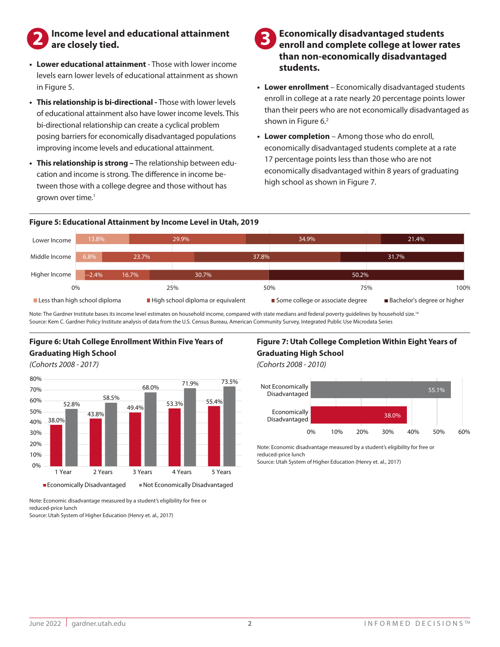## **2** Income level and educational attainment are closely tied. **are closely tied.**

- **• Lower educational attainment** Those with lower income levels earn lower levels of educational attainment as shown in Figure 5.
- **• This relationship is bi-directional** Those with lower levels of educational attainment also have lower income levels. This bi-directional relationship can create a cyclical problem posing barriers for economically disadvantaged populations improving income levels and educational attainment.
- grown over time.<sup>1</sup> tween those with a college degree and those without has **• This relationship is strong –** The relationship between education and income is strong. The difference in income be-

### **Economically disadvantaged students enroll and complete college at lower rates than non-economically disadvantaged students.**

- **• Lower enrollment** Economically disadvantaged students enroll in college at a rate nearly 20 percentage points lower than their peers who are not economically disadvantaged as shown in Figure 6.<sup>2</sup>
- economically disadvantaged within 8 years of graduating high school as shown in Figure 7. 17 percentage points less than those who are not **• Lower completion** – Among those who do enroll, economically disadvantaged students complete at a rate

#### Figure 5: Educational Attainment by Income Level in Utah, 2019 ıgure



 $\overline{\phantom{0}}$ 

Note: The Gardner Institute bases its income level estimates on household income, compared with state medians and federal poverty guidelines by household size.<sup>14</sup> Source: Kem C. Gardner Policy Institute analysis of data from the U.S. Census Bureau, American Community Survey, Integrated Public Use Microdata Series<br>

### **Figure 6: Utah College Enrollment Within Five Years of Graduating High School**

(Cohorts 2008 - 2017)



Figure 7: Utah College Completion Within Eight Years of **Graduating High School Access Disadvantaged Not Economic Economical Access** 

*(Cohorts 2008 - 2010)*



Note: Economic disadvantage measured by a student's eligibility for free or reduced-price lunch

Source: Utah System of Higher Education (Henry et. al., 2017)

 $\overline{\phantom{a}}$ 

Note: Economic disadvantage measured by a student's eligibility for free or reduced-price lunch  $unch$ 

Source: Utah System of Higher Education (Henry et. al., 2017)<br> Not Economically

\$6,000

\$5,653 \$5,306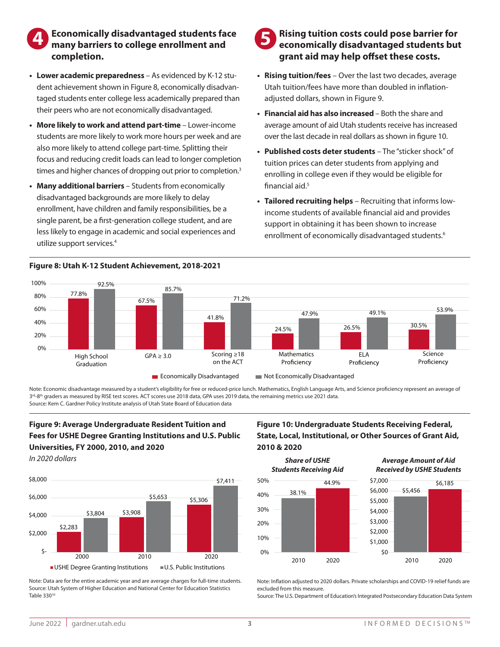### 13.8% 29.9% **completion.** Lower **Economically disadvantaged students face many barriers to college enrollment and 4 5**

- dent achievement shown in Figure 8, economically dis their peers who are not economically disadvantaged. dent achievement shown in Figure 8, economically disadvan-**• Lower academic preparedness** – As evidenced by K-12 stutaged students enter college less academically prepared than
- 50.2% students are more likely to work more hours per week and are **• More likely to work and attend part-time** – Lower-income also more likely to attend college part-time. Splitting their focus and reducing credit loads can lead to longer completion as and higher chances of dropping out prior to times and higher chances of dropping out prior to completion.<sup>3</sup>
- utilize support services.<sup>4</sup> 1.5% Bachelor's Degree or Higher less likely to engage in academic and social experiences and enrollment, have children and family responsibilities, be a disadvantaged backgrounds are more likely to delay • Many additional barriers – Students from economically  $\frac{1}{\sqrt{2}}$  72%  $\frac{1}{\sqrt{2}}$  72%  $\frac{1}{\sqrt{2}}$  72%  $\frac{1}{\sqrt{2}}$ single parent, be a first-generation college student, and are

## Figure 8: Utah K-12 Student Achievement, 2018-2021<br>' 70% **Figure 8: Utah K-12 Student Achievement, 2018-2021**

#### The Community Modernman September 2014  $\blacksquare$  Dicina tuition costs could nose ba grant aid may help offset these costs. **Rising tuition costs could pose barrier for economically disadvantaged students but**

- **Rising tuition/fees** Over the last two decades, average Utah tuition/fees have more than doubled in inflationadjusted dollars, shown in Figure 9.
- 49% 53% 55% 53% 60% over the last decade in real dollars as shown in figure 10.  $\overline{9}$ **• Financial aid has also increased** – Both the share and average amount of aid Utah students receive has increased
- lished costs de financial aid. $5$ enrolling in college even if they would be eligible for tuition prices can deter students from applying and **• Published costs deter students** - The "sticker shock" of
- **Tailored recruiting helps** Recruiting that informs lowincome students of available financial aid and provides support in obtaining it has been shown to increase enrollment of economically disadvantaged students.<sup>6</sup>

55.1%



Disadvantaged

or the School Diplomation Control Diplomatic Control Diplomation Control Diplomatic Control Diplomation Contro<br>Source: Kem C. Gardner Policy Institute analysis of Utah State Board of Education data Note: Economic disadvantage measured by a student's eligibility for free or reduced-price lunch. Mathematics, English Language Arts, and Science proficiency represent an average of over Economic assardings measured by a statency engishing for nee of reacced price tanen mathemates, Engilsh Eanglaged in<br>3<sup>rd</sup>-8<sup>th</sup> graders as measured by RISE test scores. ACT scores use 2018 data, GPA uses 2019 data,  $\overline{a}$ 

\$-

### **Figure 9: Average Undergraduate Resident Tuition and** Fees for USHE Degree Granting Institutions and U.S. Public **Universities, FY 2000, 2010, and 2020** Economically

*In 2020 dollars* 



note: Data are for the entire academic year and are average charges for full-time students.<br>Source: Utah System of Higher Education and National Center for Education Statistics Note: Data are for the entire academic year and are average charges for full-time students. Dixie Table 330<sup>10</sup>

#### 2000 2010 2020 Figure 10: Undergraduate Students Receiving Federal, 52.6% 51.5% 52.1% **State, Local, Institutional, or Other Sources of Grant Aid,** 30% **2010 & 2020**



Note: Inflation adjusted to 2020 dollars. Private scholarships and COVID-19 relief funds are excluded from this measure.

Source: The U.S. Department of Education's Integrated Postsecondary Education Data System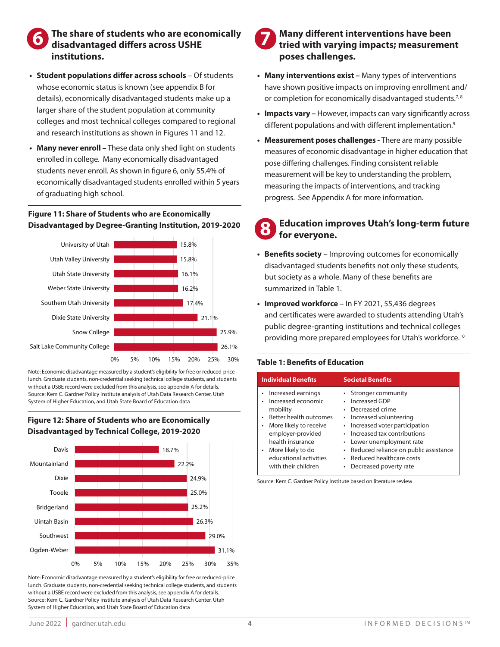## **6** The share of students who are economically disadvantaged differs across USHE **disadvantaged differs across USHE institutions.**

- **• Student populations differ across schools** Of students whose economic status is known (see appendix B for details), economically disadvantaged students make up a larger share of the student population at community regional colleges and most technical colleges compared to regional and research institutions as shown in Figures 11 and 12. 67.5%  $\overline{a}$
- Many never enroll These data only shed light on students enrolled in college. Many economically disadvantaged students never enroll. As shown in figure 6, only 55.4% of economically disadvantaged students enrolled within 5 years of graduating high school. on the ACT students never enroll. As shown in figure 6 students enrolled within 5 years

#### **Figure 11: Share of Students who are Economically Disadvantaged by Degree-Granting Institution, 2019-2020** 20%  $\frac{1}{\sqrt{2}}$

41.8%



Note: Economic disadvantage measured by a student's eligibility for free or reduced-price note: economic aisadvantage measured by a student s engibility for nee or reduced-price<br>lunch. Graduate students, non-credential seeking technical college students, and students without a USBE record were excluded from this analysis, see appendix A for details. without a OSBE record were excluded from this analysis, see appendix A for details.<br>Source: Kem C. Gardner Policy Institute analysis of Utah Data Research Center, Utah System of Higher Education, and Utah State Board of Education data<br>.

## 25.0% Tooele **Disadvantaged by Technical College, 2019-2020** Figure 12: Share of Students who are Economically



Note: Economic disadvantage measured by a student's eligibility for free or reduced-price lunch. Graduate students, non-credential seeking technical college students, and students without a USBE record were excluded from this analysis, see appendix A for details. Source: Kem C. Gardner Policy Institute analysis of Utah Data Research Center, Utah System of Higher Education, and Utah State Board of Education data

## **Many different interventions have been tried with varying impacts; measurement poses challenges.**

- **• Many interventions exist** Many types of interventions have shown positive impacts on improving enrollment and/ or completion for economically disadvantaged students.<sup>7,8</sup>
- **• Impacts vary** However, impacts can vary significantly across different populations and with different implementation.<sup>9</sup>
- measures of economic disadvantage in higher education that **• Measurement poses challenges -** There are many possible measuring the impacts of interventions, and tracking Economically Disadvantaged Not Economically Disadvantaged progress. See Appendix A for more information. pose differing challenges. Finding consistent reliable measurement will be key to understanding the problem,

#### 52.6% 51.5% 52.1% 60% for everyone. **Education improves Utah's long-term future 8**

- **Benefits society** Improving outcomes for economically 36.8% 40% Economically Disadvantaged Not Economically Disadvantaged disadvantaged students benefits not only these students, summarized in Table 1. but society as a whole. Many of these benefits are
	- and certificates were awarded to students attending Utal Improved workforce In EV  $\frac{1}{2}$ ittending Utah 20% providing more prepared employees for Utah's workforce.<sup>10</sup><br>providing more prepared employees for Utah's workforce.<sup>10</sup> and certificates were awarded to students attending Utah's 50% **• Improved workforce** – In FY 2021, 55,436 degrees public degree-granting institutions and technical colleges

## 10% **Table 1: Benefits of Education**

| <b>Individual Benefits</b>                                                                                                                                                                                                     | <b>Societal Benefits</b>                                                                                                                                                                                                                                                                                      |
|--------------------------------------------------------------------------------------------------------------------------------------------------------------------------------------------------------------------------------|---------------------------------------------------------------------------------------------------------------------------------------------------------------------------------------------------------------------------------------------------------------------------------------------------------------|
| Increased earnings<br>Increased economic<br>mobility<br>Better health outcomes<br>More likely to receive<br>٠<br>employer-provided<br>health insurance<br>• More likely to do<br>educational activities<br>with their children | Stronger community<br>Increased GDP<br>Decreased crime<br>٠<br>Increased volunteering<br>۰<br>Increased voter participation<br>۰<br>Increased tax contributions<br>٠<br>Lower unemployment rate<br>٠<br>Reduced reliance on public assistance<br>٠<br>Reduced healthcare costs<br>٠<br>Decreased poverty rate |

Source: Kem C. Gardner Policy Institute based on literature review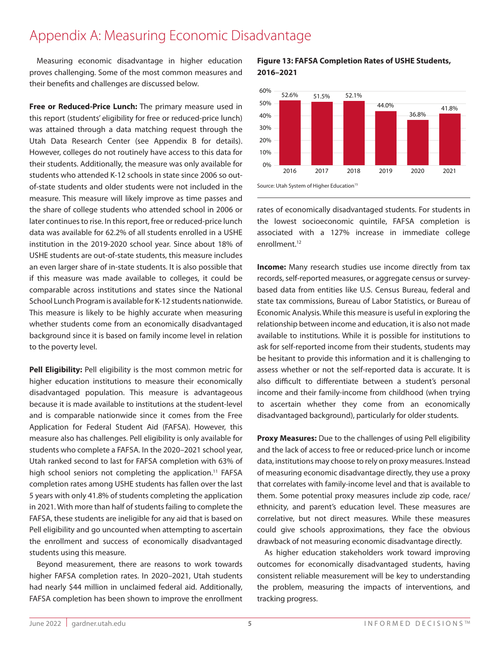#### Appendix A: Measuring Economic Disadvantage ldix A: Measuring Economic D  $\overline{\phantom{a}}$ antage

Measuring economic disadvantage in higher education proves challenging. Some of the most common measures and their benefits and challenges are discussed below.

**Free or Reduced-Price Lunch:** The primary measure used in this report (students' eligibility for free or reduced-price lunch) was attained through a data matching request through the Utah Data Research Center (see Appendix B for details). However, colleges do not routinely have access to this data for their students. Additionally, the measure was only available for students who attended K-12 schools in state since 2006 so outof-state students and older students were not included in the measure. This measure will likely improve as time passes and the share of college students who attended school in 2006 or later continues to rise. In this report, free or reduced-price lunch data was available for 62.2% of all students enrolled in a USHE institution in the 2019-2020 school year. Since about 18% of USHE students are out-of-state students, this measure includes an even larger share of in-state students, this measure includes<br>an even larger share of in-state students. It is also possible that if this measure was made available to colleges, it could be comparable across institutions and states since the National School Lunch Program is available for K-12 students nationwide. This measure is likely to be highly accurate when measuring This measure is interf to be inging decurate when measuring<br>whether students come from an economically disadvantaged background since it is based on family income level in relation to the poverty level.

**Pell Eligibility:** Pell eligibility is the most common metric for higher education institutions to measure their economically disadvantaged population. This measure is advantageous because it is made available to institutions at the student-level and is comparable nationwide since it comes from the Free Application for Federal Student Aid (FAFSA). However, this measure also has challenges. Pell eligibility is only available for students who complete a FAFSA. In the 2020–2021 school year, Utah ranked second to last for FAFSA completion with 63% of high school seniors not completing the application.<sup>11</sup> FAFSA completion rates among USHE students has fallen over the last 5 years with only 41.8% of students completing the application in 2021. With more than half of students failing to complete the FAFSA, these students are ineligible for any aid that is based on Pell eligibility and go uncounted when attempting to ascertain the enrollment and success of economically disadvantaged students using this measure.

Beyond measurement, there are reasons to work towards higher FAFSA completion rates. In 2020–2021, Utah students had nearly \$44 million in unclaimed federal aid. Additionally, FAFSA completion has been shown to improve the enrollment

### **ge** in higher education **Figure 13: FAFSA Completion Rates of USHE Students, 2016–2021**



rates of economically disadvantaged students. For students in the lowest socioeconomic quintile, FAFSA completion is associated with a 127% increase in immediate college enrollment.<sup>12</sup>

**Income:** Many research studies use income directly from tax records, self-reported measures, or aggregate census or surveybased data from entities like U.S. Census Bureau, federal and state tax commissions, Bureau of Labor Statistics, or Bureau of Economic Analysis. While this measure is useful in exploring the relationship between income and education, it is also not made available to institutions. While it is possible for institutions to ask for self-reported income from their students, students may be hesitant to provide this information and it is challenging to assess whether or not the self-reported data is accurate. It is also difficult to differentiate between a student's personal income and their family-income from childhood (when trying to ascertain whether they come from an economically disadvantaged background), particularly for older students.

**Proxy Measures:** Due to the challenges of using Pell eligibility and the lack of access to free or reduced-price lunch or income data, institutions may choose to rely on proxy measures. Instead of measuring economic disadvantage directly, they use a proxy that correlates with family-income level and that is available to them. Some potential proxy measures include zip code, race/ ethnicity, and parent's education level. These measures are correlative, but not direct measures. While these measures could give schools approximations, they face the obvious drawback of not measuring economic disadvantage directly.

As higher education stakeholders work toward improving outcomes for economically disadvantaged students, having consistent reliable measurement will be key to understanding the problem, measuring the impacts of interventions, and tracking progress.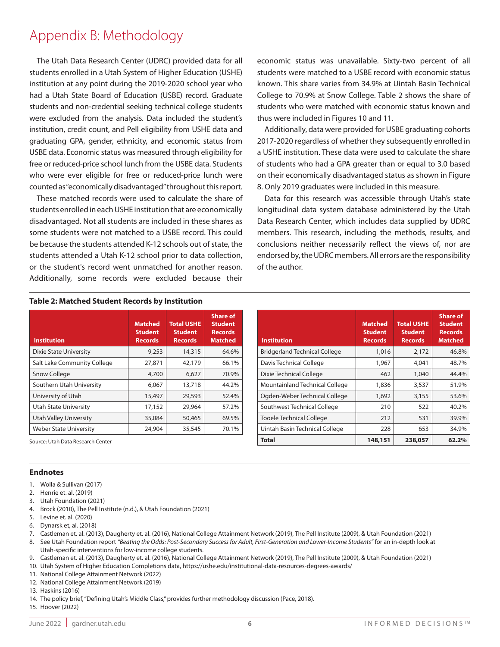# Appendix B: Methodology

The Utah Data Research Center (UDRC) provided data for all students enrolled in a Utah System of Higher Education (USHE) institution at any point during the 2019-2020 school year who had a Utah State Board of Education (USBE) record. Graduate students and non-credential seeking technical college students were excluded from the analysis. Data included the student's institution, credit count, and Pell eligibility from USHE data and graduating GPA, gender, ethnicity, and economic status from USBE data. Economic status was measured through eligibility for free or reduced-price school lunch from the USBE data. Students who were ever eligible for free or reduced-price lunch were counted as "economically disadvantaged" throughout this report.

These matched records were used to calculate the share of students enrolled in each USHE institution that are economically disadvantaged. Not all students are included in these shares as some students were not matched to a USBE record. This could be because the students attended K-12 schools out of state, the students attended a Utah K-12 school prior to data collection, or the student's record went unmatched for another reason. Additionally, some records were excluded because their

economic status was unavailable. Sixty-two percent of all students were matched to a USBE record with economic status known. This share varies from 34.9% at Uintah Basin Technical College to 70.9% at Snow College. Table 2 shows the share of students who were matched with economic status known and thus were included in Figures 10 and 11.

Additionally, data were provided for USBE graduating cohorts 2017-2020 regardless of whether they subsequently enrolled in a USHE institution. These data were used to calculate the share of students who had a GPA greater than or equal to 3.0 based on their economically disadvantaged status as shown in Figure 8. Only 2019 graduates were included in this measure.

Data for this research was accessible through Utah's state longitudinal data system database administered by the Utah Data Research Center, which includes data supplied by UDRC members. This research, including the methods, results, and conclusions neither necessarily reflect the views of, nor are endorsed by, the UDRC members. All errors are the responsibility of the author.

| Table 2: Matched Student Records by Institution |  |
|-------------------------------------------------|--|
|-------------------------------------------------|--|

| <b>Institution</b>            | <b>Matched</b><br><b>Student</b><br><b>Records</b> | <b>Total USHE</b><br><b>Student</b><br><b>Records</b> | <b>Share of</b><br><b>Student</b><br><b>Records</b><br><b>Matched</b> |
|-------------------------------|----------------------------------------------------|-------------------------------------------------------|-----------------------------------------------------------------------|
| Dixie State University        | 9,253                                              | 14,315                                                | 64.6%                                                                 |
| Salt Lake Community College   | 27,871                                             | 42,179                                                | 66.1%                                                                 |
| Snow College                  | 4,700                                              | 6,627                                                 | 70.9%                                                                 |
| Southern Utah University      | 6,067                                              | 13,718                                                | 44.2%                                                                 |
| University of Utah            | 15,497                                             | 29,593                                                | 52.4%                                                                 |
| <b>Utah State University</b>  | 17,152                                             | 29,964                                                | 57.2%                                                                 |
| <b>Utah Valley University</b> | 35,084                                             | 50,465                                                | 69.5%                                                                 |
| <b>Weber State University</b> | 24,904                                             | 35,545                                                | 70.1%                                                                 |

Source: Utah Data Research Center

#### **Endnotes**

- 1. Wolla & Sullivan (2017)
- 2. Henrie et. al. (2019)
- 3. Utah Foundation (2021)
- 4. Brock (2010), The Pell Institute (n.d.), & Utah Foundation (2021)
- 5. Levine et. al. (2020)
- 6. Dynarsk et, al. (2018)
- 7. Castleman et. al. (2013), Daugherty et. al. (2016), National College Attainment Network (2019), The Pell Institute (2009), & Utah Foundation (2021)
- 8. See Utah Foundation report *"Beating the Odds: Post-Secondary Success for Adult, First-Generation and Lower-Income Students"* for an in-depth look at Utah-specific interventions for low-income college students.

9. Castleman et. al. (2013), Daugherty et. al. (2016), National College Attainment Network (2019), The Pell Institute (2009), & Utah Foundation (2021)

10. Utah System of Higher Education Completions data, https://ushe.edu/institutional-data-resources-degrees-awards/

11. National College Attainment Network (2022)

12. National College Attainment Network (2019)

13. Haskins (2016)

14. The policy brief, "Defining Utah's Middle Class," provides further methodology discussion (Pace, 2018).

15. Hoover (2022)

| <b>Institution</b>                   | <b>Matched</b><br><b>Student</b><br><b>Records</b> | <b>Total USHE</b><br><b>Student</b><br><b>Records</b> | <b>Share of</b><br><b>Student</b><br><b>Records</b><br><b>Matched</b> |
|--------------------------------------|----------------------------------------------------|-------------------------------------------------------|-----------------------------------------------------------------------|
| <b>Bridgerland Technical College</b> | 1,016                                              | 2,172                                                 | 46.8%                                                                 |
| Davis Technical College              | 1,967                                              | 4,041                                                 | 48.7%                                                                 |
| Dixie Technical College              | 462                                                | 1,040                                                 | 44.4%                                                                 |
| Mountainland Technical College       | 1,836                                              | 3,537                                                 | 51.9%                                                                 |
| Ogden-Weber Technical College        | 1,692                                              | 3,155                                                 | 53.6%                                                                 |
| Southwest Technical College          | 210                                                | 522                                                   | 40.2%                                                                 |
| <b>Tooele Technical College</b>      | 212                                                | 531                                                   | 39.9%                                                                 |
| Uintah Basin Technical College       | 228                                                | 653                                                   | 34.9%                                                                 |

**Total 148,151 238,057 62.2%**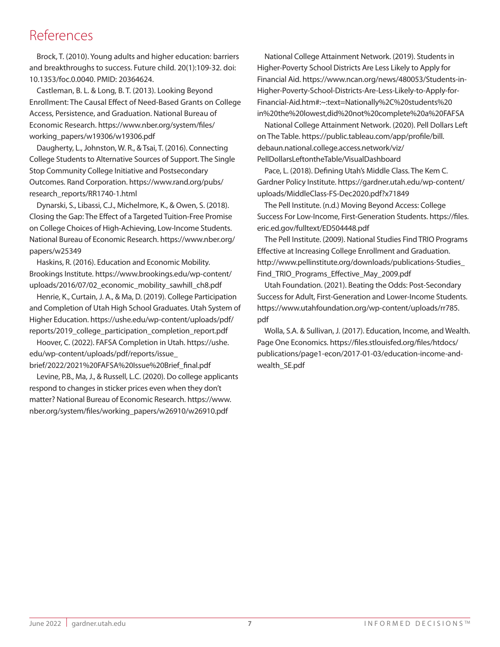# References

Brock, T. (2010). Young adults and higher education: barriers and breakthroughs to success. Future child. 20(1):109-32. doi: 10.1353/foc.0.0040. PMID: 20364624.

Castleman, B. L. & Long, B. T. (2013). Looking Beyond Enrollment: The Causal Effect of Need-Based Grants on College Access, Persistence, and Graduation. National Bureau of Economic Research. https://www.nber.org/system/files/ working\_papers/w19306/w19306.pdf

Daugherty, L., Johnston, W. R., & Tsai, T. (2016). Connecting College Students to Alternative Sources of Support. The Single Stop Community College Initiative and Postsecondary Outcomes. Rand Corporation. https://www.rand.org/pubs/ research\_reports/RR1740-1.html

Dynarski, S., Libassi, C.J., Michelmore, K., & Owen, S. (2018). Closing the Gap: The Effect of a Targeted Tuition-Free Promise on College Choices of High-Achieving, Low-Income Students. National Bureau of Economic Research. https://www.nber.org/ papers/w25349

Haskins, R. (2016). Education and Economic Mobility. Brookings Institute. https://www.brookings.edu/wp-content/ uploads/2016/07/02\_economic\_mobility\_sawhill\_ch8.pdf

Henrie, K., Curtain, J. A., & Ma, D. (2019). College Participation and Completion of Utah High School Graduates. Utah System of Higher Education. https://ushe.edu/wp-content/uploads/pdf/ reports/2019\_college\_participation\_completion\_report.pdf

Hoover, C. (2022). FAFSA Completion in Utah. https://ushe. edu/wp-content/uploads/pdf/reports/issue\_ brief/2022/2021%20FAFSA%20Issue%20Brief\_final.pdf

Levine, P.B., Ma, J., & Russell, L.C. (2020). Do college applicants respond to changes in sticker prices even when they don't matter? National Bureau of Economic Research. https://www. nber.org/system/files/working\_papers/w26910/w26910.pdf

National College Attainment Network. (2019). Students in Higher-Poverty School Districts Are Less Likely to Apply for Financial Aid. https://www.ncan.org/news/480053/Students-in-Higher-Poverty-School-Districts-Are-Less-Likely-to-Apply-for-Financial-Aid.htm#:~:text=Nationally%2C%20students%20 in%20the%20lowest,did%20not%20complete%20a%20FAFSA

National College Attainment Network. (2020). Pell Dollars Left on The Table. https://public.tableau.com/app/profile/bill. debaun.national.college.access.network/viz/ PellDollarsLeftontheTable/VisualDashboard

Pace, L. (2018). Defining Utah's Middle Class. The Kem C. Gardner Policy Institute. https://gardner.utah.edu/wp-content/ uploads/MiddleClass-FS-Dec2020.pdf?x71849

The Pell Institute. (n.d.) Moving Beyond Access: College Success For Low-Income, First-Generation Students. https://files. eric.ed.gov/fulltext/ED504448.pdf

The Pell Institute. (2009). National Studies Find TRIO Programs Effective at Increasing College Enrollment and Graduation. http://www.pellinstitute.org/downloads/publications-Studies\_ Find\_TRIO\_Programs\_Effective\_May\_2009.pdf

Utah Foundation. (2021). Beating the Odds: Post-Secondary Success for Adult, First-Generation and Lower-Income Students. https://www.utahfoundation.org/wp-content/uploads/rr785. pdf

Wolla, S.A. & Sullivan, J. (2017). Education, Income, and Wealth. Page One Economics. https://files.stlouisfed.org/files/htdocs/ publications/page1-econ/2017-01-03/education-income-andwealth\_SE.pdf